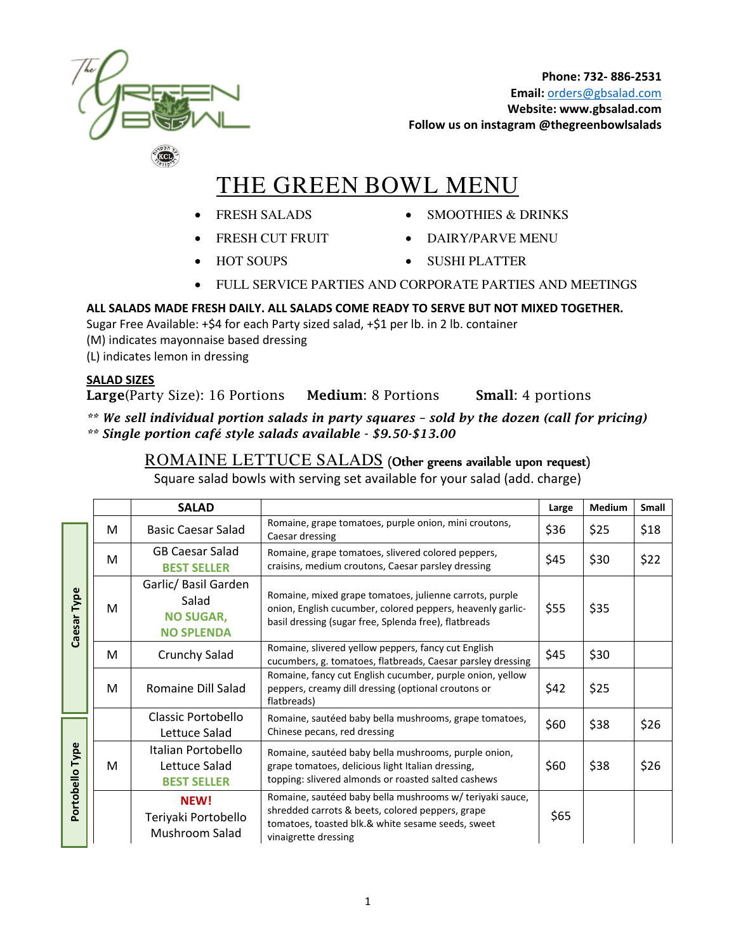

# THE GREEN BOWL MENU

- FRESH SALADS
- FRESH CUT FRUIT
	-
- SMOOTHIES & DRINKS
- DAIRY/PARVE MENU
- HOT SOUPS
- SUSHI PLATTER
- FULL SERVICE PARTIES AND CORPORATE PARTIES AND MEETINGS

#### **ALL SALADS MADE FRESH DAILY. ALL SALADS COME READY TO SERVE BUT NOT MIXED TOGETHER.**

Sugar Free Available: +\$4 for each Party sized salad, +\$1 per lb. in 2 lb. container

- (M) indicates mayonnaise based dressing
- (L) indicates lemon in dressing

#### **SALAD SIZES**

**Large**(Party Size): 16 Portions **Medium**: 8 Portions **Small**: 4 portions

*\*\* We sell individual portion salads in party squares – sold by the dozen (call for pricing)* 

*\*\* Single portion café style salads available - \$9.50-\$13.00* 

### ROMAINE LETTUCE SALADS (Other greens available upon request)

Square salad bowls with serving set available for your salad (add. charge)

|                 |   | <b>SALAD</b>                                                           |                                                                                                                                                                                           | Large | <b>Medium</b> | <b>Small</b> |
|-----------------|---|------------------------------------------------------------------------|-------------------------------------------------------------------------------------------------------------------------------------------------------------------------------------------|-------|---------------|--------------|
|                 | м | <b>Basic Caesar Salad</b>                                              | Romaine, grape tomatoes, purple onion, mini croutons,<br>Caesar dressing                                                                                                                  | \$36  | \$25          | \$18         |
| Type<br>Caesar  | M | <b>GB Caesar Salad</b><br><b>BEST SELLER</b>                           | Romaine, grape tomatoes, slivered colored peppers,<br>craisins, medium croutons, Caesar parsley dressing                                                                                  | \$45  | \$30          | \$22         |
|                 | м | Garlic/ Basil Garden<br>Salad<br><b>NO SUGAR,</b><br><b>NO SPLENDA</b> | Romaine, mixed grape tomatoes, julienne carrots, purple<br>onion, English cucumber, colored peppers, heavenly garlic-<br>basil dressing (sugar free, Splenda free), flatbreads            | \$55  | \$35          |              |
|                 | M | Crunchy Salad                                                          | Romaine, slivered yellow peppers, fancy cut English<br>\$45<br>cucumbers, g. tomatoes, flatbreads, Caesar parsley dressing                                                                |       | \$30          |              |
|                 | M | Romaine Dill Salad                                                     | Romaine, fancy cut English cucumber, purple onion, yellow<br>peppers, creamy dill dressing (optional croutons or<br>flatbreads)                                                           | \$42  | \$25          |              |
|                 |   | Classic Portobello<br>Lettuce Salad                                    | Romaine, sautéed baby bella mushrooms, grape tomatoes,<br>Chinese pecans, red dressing                                                                                                    | \$60  | \$38          | \$26         |
| Portobello Type | M | Italian Portobello<br>Lettuce Salad<br><b>BEST SELLER</b>              | Romaine, sautéed baby bella mushrooms, purple onion,<br>grape tomatoes, delicious light Italian dressing,<br>topping: slivered almonds or roasted salted cashews                          | \$60  | \$38          | \$26         |
|                 |   | NEW!<br>Teriyaki Portobello<br>Mushroom Salad                          | Romaine, sautéed baby bella mushrooms w/ teriyaki sauce,<br>shredded carrots & beets, colored peppers, grape<br>tomatoes, toasted blk.& white sesame seeds, sweet<br>vinaigrette dressing | \$65  |               |              |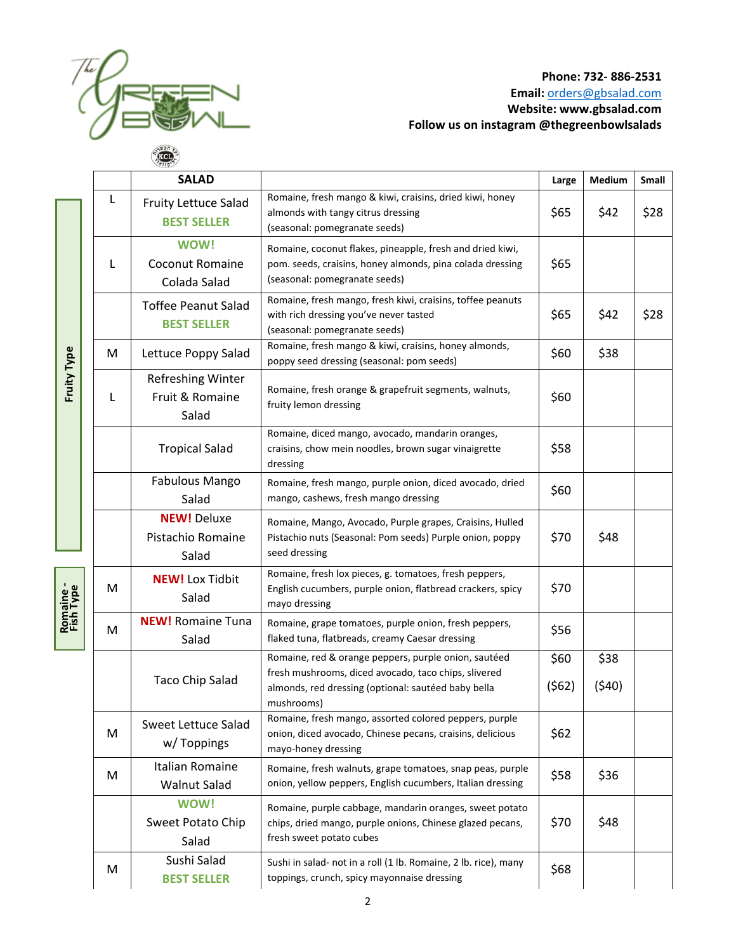

|                        |   | <b>SALAD</b>                                          |                                                                                                                                                                                   | Large         | Medium        | Small |
|------------------------|---|-------------------------------------------------------|-----------------------------------------------------------------------------------------------------------------------------------------------------------------------------------|---------------|---------------|-------|
|                        | L | Fruity Lettuce Salad<br><b>BEST SELLER</b>            | Romaine, fresh mango & kiwi, craisins, dried kiwi, honey<br>almonds with tangy citrus dressing<br>(seasonal: pomegranate seeds)                                                   | \$65          | \$42          | \$28  |
|                        | L | <b>WOW!</b><br><b>Coconut Romaine</b><br>Colada Salad | Romaine, coconut flakes, pineapple, fresh and dried kiwi,<br>pom. seeds, craisins, honey almonds, pina colada dressing<br>(seasonal: pomegranate seeds)                           | \$65          |               |       |
|                        |   | <b>Toffee Peanut Salad</b><br><b>BEST SELLER</b>      | Romaine, fresh mango, fresh kiwi, craisins, toffee peanuts<br>with rich dressing you've never tasted<br>(seasonal: pomegranate seeds)                                             | \$65          | \$42          | \$28  |
|                        | M | Lettuce Poppy Salad                                   | Romaine, fresh mango & kiwi, craisins, honey almonds,<br>poppy seed dressing (seasonal: pom seeds)                                                                                | \$60          | \$38          |       |
| <b>Fruity Type</b>     | L | Refreshing Winter<br>Fruit & Romaine<br>Salad         | Romaine, fresh orange & grapefruit segments, walnuts,<br>fruity lemon dressing                                                                                                    | \$60          |               |       |
|                        |   | <b>Tropical Salad</b>                                 | Romaine, diced mango, avocado, mandarin oranges,<br>craisins, chow mein noodles, brown sugar vinaigrette<br>dressing                                                              | \$58          |               |       |
|                        |   | Fabulous Mango<br>Salad                               | Romaine, fresh mango, purple onion, diced avocado, dried<br>mango, cashews, fresh mango dressing                                                                                  | \$60          |               |       |
|                        |   | <b>NEW! Deluxe</b><br>Pistachio Romaine<br>Salad      | Romaine, Mango, Avocado, Purple grapes, Craisins, Hulled<br>Pistachio nuts (Seasonal: Pom seeds) Purple onion, poppy<br>seed dressing                                             | \$70          | \$48          |       |
| Romaine -<br>Fish Type | M | <b>NEW!</b> Lox Tidbit<br>Salad                       | Romaine, fresh lox pieces, g. tomatoes, fresh peppers,<br>English cucumbers, purple onion, flatbread crackers, spicy<br>mayo dressing                                             | \$70          |               |       |
|                        | M | <b>NEW!</b> Romaine Tuna<br>Salad                     | Romaine, grape tomatoes, purple onion, fresh peppers,<br>flaked tuna, flatbreads, creamy Caesar dressing                                                                          | \$56          |               |       |
|                        |   | <b>Taco Chip Salad</b>                                | Romaine, red & orange peppers, purple onion, sautéed<br>fresh mushrooms, diced avocado, taco chips, slivered<br>almonds, red dressing (optional: sautéed baby bella<br>mushrooms) | \$60<br>(562) | \$38<br>(540) |       |
|                        | M | Sweet Lettuce Salad<br>w/Toppings                     | Romaine, fresh mango, assorted colored peppers, purple<br>onion, diced avocado, Chinese pecans, craisins, delicious<br>mayo-honey dressing                                        | \$62          |               |       |
|                        | M | Italian Romaine<br><b>Walnut Salad</b>                | Romaine, fresh walnuts, grape tomatoes, snap peas, purple<br>onion, yellow peppers, English cucumbers, Italian dressing                                                           | \$58          | \$36          |       |
|                        |   | <b>WOW!</b><br><b>Sweet Potato Chip</b><br>Salad      | Romaine, purple cabbage, mandarin oranges, sweet potato<br>chips, dried mango, purple onions, Chinese glazed pecans,<br>fresh sweet potato cubes                                  | \$70          | \$48          |       |
|                        | M | Sushi Salad<br><b>BEST SELLER</b>                     | Sushi in salad- not in a roll (1 lb. Romaine, 2 lb. rice), many<br>toppings, crunch, spicy mayonnaise dressing                                                                    | \$68          |               |       |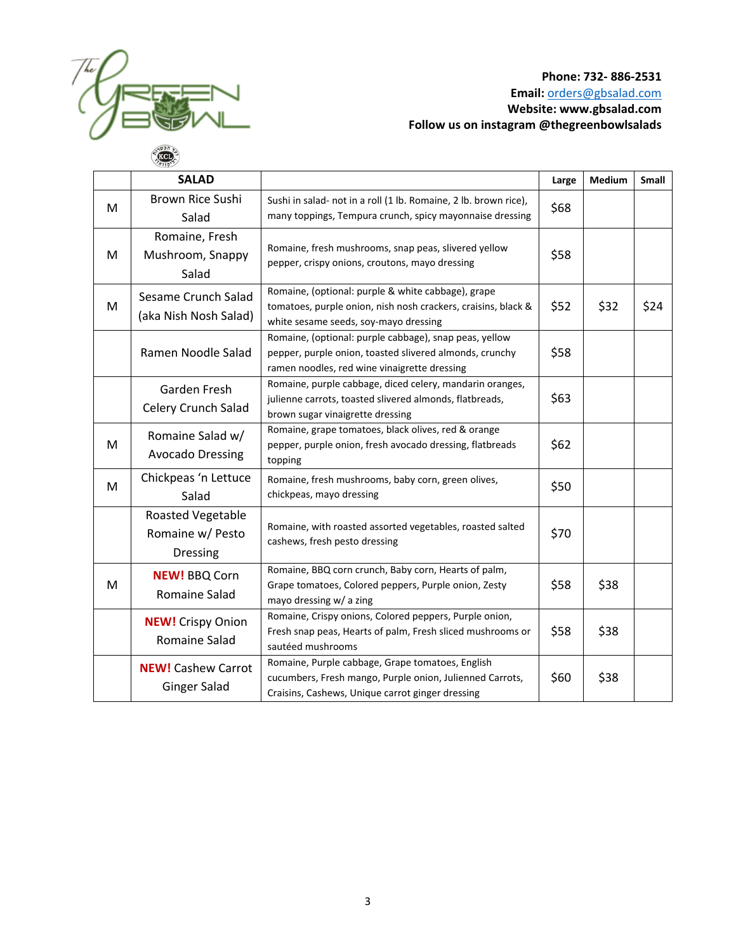

|   | <b>SALAD</b>                                                                                                                                                                           |                                                                                                                                                                   | Large | Medium | <b>Small</b> |
|---|----------------------------------------------------------------------------------------------------------------------------------------------------------------------------------------|-------------------------------------------------------------------------------------------------------------------------------------------------------------------|-------|--------|--------------|
| M | <b>Brown Rice Sushi</b><br>Salad                                                                                                                                                       | Sushi in salad- not in a roll (1 lb. Romaine, 2 lb. brown rice),<br>many toppings, Tempura crunch, spicy mayonnaise dressing                                      | \$68  |        |              |
| M | Romaine, Fresh<br>Mushroom, Snappy<br>Salad                                                                                                                                            | Romaine, fresh mushrooms, snap peas, slivered yellow<br>pepper, crispy onions, croutons, mayo dressing                                                            |       |        |              |
| M | Sesame Crunch Salad<br>(aka Nish Nosh Salad)                                                                                                                                           | Romaine, (optional: purple & white cabbage), grape<br>tomatoes, purple onion, nish nosh crackers, craisins, black &<br>white sesame seeds, soy-mayo dressing      |       | \$32   | \$24         |
|   | Ramen Noodle Salad                                                                                                                                                                     | Romaine, (optional: purple cabbage), snap peas, yellow<br>pepper, purple onion, toasted slivered almonds, crunchy<br>ramen noodles, red wine vinaigrette dressing | \$58  |        |              |
|   | Garden Fresh<br>Celery Crunch Salad                                                                                                                                                    | Romaine, purple cabbage, diced celery, mandarin oranges,<br>julienne carrots, toasted slivered almonds, flatbreads,<br>brown sugar vinaigrette dressing           | \$63  |        |              |
| M | Romaine Salad w/<br><b>Avocado Dressing</b>                                                                                                                                            | Romaine, grape tomatoes, black olives, red & orange<br>pepper, purple onion, fresh avocado dressing, flatbreads<br>topping                                        |       |        |              |
| M | Chickpeas 'n Lettuce<br>Salad                                                                                                                                                          | Romaine, fresh mushrooms, baby corn, green olives,<br>chickpeas, mayo dressing                                                                                    |       |        |              |
|   | Roasted Vegetable<br>Romaine w/ Pesto<br><b>Dressing</b>                                                                                                                               | Romaine, with roasted assorted vegetables, roasted salted<br>cashews, fresh pesto dressing                                                                        | \$70  |        |              |
| M | <b>NEW! BBQ Corn</b><br>Romaine Salad                                                                                                                                                  | Romaine, BBQ corn crunch, Baby corn, Hearts of palm,<br>Grape tomatoes, Colored peppers, Purple onion, Zesty<br>mayo dressing w/ a zing                           | \$58  | \$38   |              |
|   | Romaine, Crispy onions, Colored peppers, Purple onion,<br><b>NEW!</b> Crispy Onion<br>Fresh snap peas, Hearts of palm, Fresh sliced mushrooms or<br>Romaine Salad<br>sautéed mushrooms |                                                                                                                                                                   | \$58  | \$38   |              |
|   | <b>NEW!</b> Cashew Carrot<br><b>Ginger Salad</b>                                                                                                                                       | Romaine, Purple cabbage, Grape tomatoes, English<br>cucumbers, Fresh mango, Purple onion, Julienned Carrots,<br>Craisins, Cashews, Unique carrot ginger dressing  | \$60  | \$38   |              |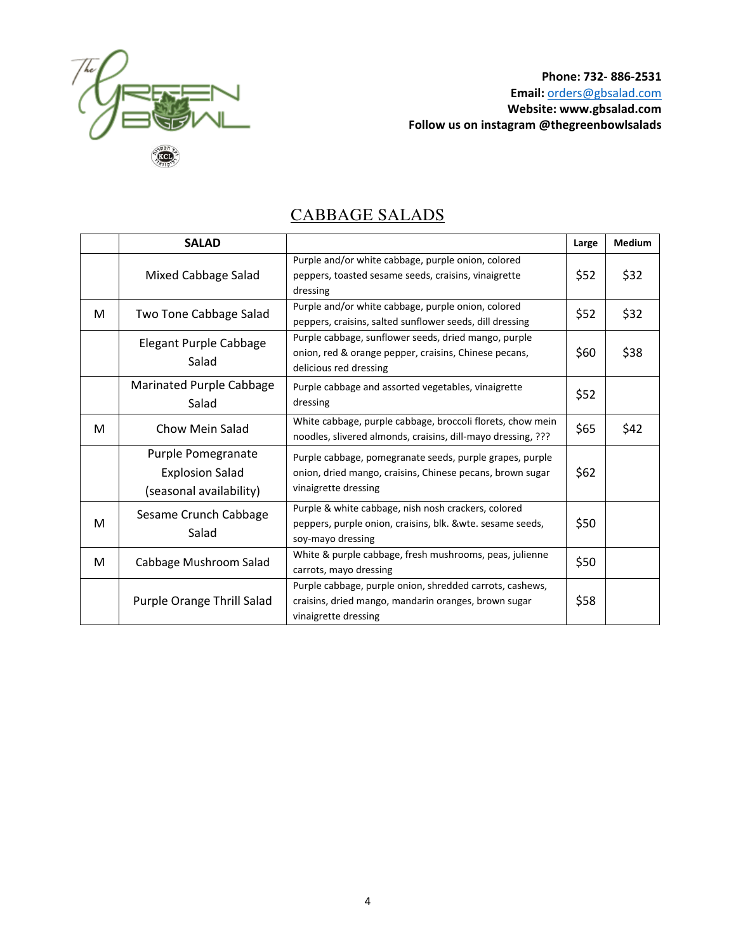

## CABBAGE SALADS

|   | <b>SALAD</b>                                                            |                                                                                                                                               | Large | <b>Medium</b> |
|---|-------------------------------------------------------------------------|-----------------------------------------------------------------------------------------------------------------------------------------------|-------|---------------|
|   | Mixed Cabbage Salad                                                     | Purple and/or white cabbage, purple onion, colored<br>peppers, toasted sesame seeds, craisins, vinaigrette<br>dressing                        | \$52  | \$32          |
| M | Two Tone Cabbage Salad                                                  | Purple and/or white cabbage, purple onion, colored<br>peppers, craisins, salted sunflower seeds, dill dressing                                | \$52  | \$32          |
|   | Elegant Purple Cabbage<br>Salad                                         | Purple cabbage, sunflower seeds, dried mango, purple<br>onion, red & orange pepper, craisins, Chinese pecans,<br>delicious red dressing       | \$60  | \$38          |
|   | Marinated Purple Cabbage<br>Salad                                       | Purple cabbage and assorted vegetables, vinaigrette<br>dressing                                                                               | \$52  |               |
| M | Chow Mein Salad                                                         | White cabbage, purple cabbage, broccoli florets, chow mein<br>noodles, slivered almonds, craisins, dill-mayo dressing, ???                    | \$65  | \$42          |
|   | Purple Pomegranate<br><b>Explosion Salad</b><br>(seasonal availability) | Purple cabbage, pomegranate seeds, purple grapes, purple<br>onion, dried mango, craisins, Chinese pecans, brown sugar<br>vinaigrette dressing | \$62  |               |
| M | Sesame Crunch Cabbage<br>Salad                                          | Purple & white cabbage, nish nosh crackers, colored<br>peppers, purple onion, craisins, blk. & wte. sesame seeds,<br>soy-mayo dressing        | \$50  |               |
| M | Cabbage Mushroom Salad                                                  | White & purple cabbage, fresh mushrooms, peas, julienne<br>carrots, mayo dressing                                                             | \$50  |               |
|   | Purple Orange Thrill Salad                                              | Purple cabbage, purple onion, shredded carrots, cashews,<br>craisins, dried mango, mandarin oranges, brown sugar<br>vinaigrette dressing      | \$58  |               |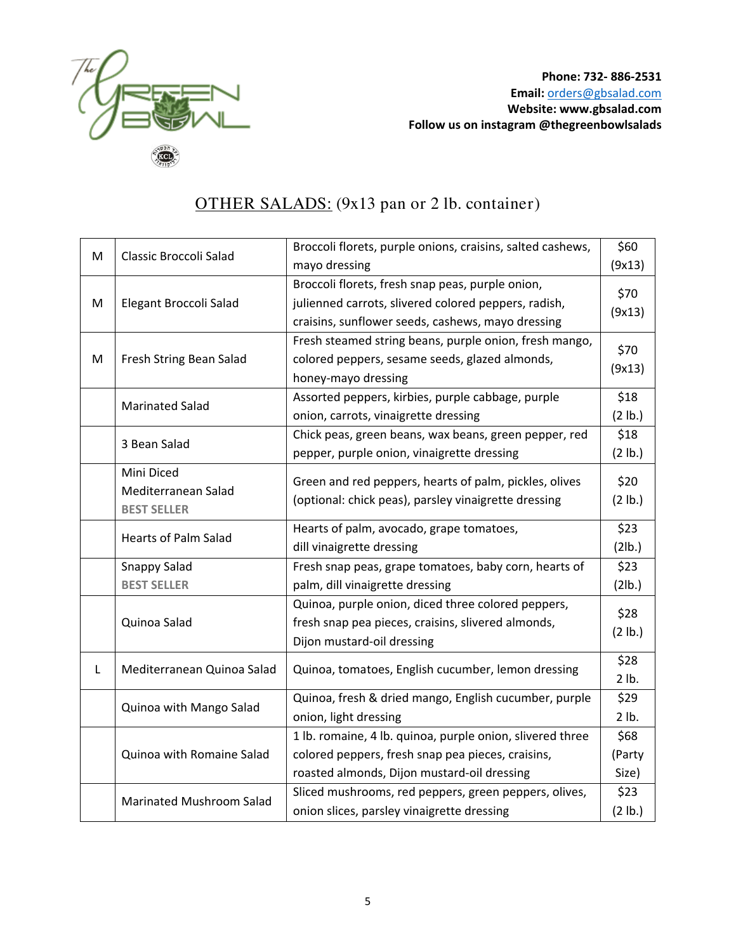

## OTHER SALADS: (9x13 pan or 2 lb. container)

| M | Classic Broccoli Salad      | Broccoli florets, purple onions, craisins, salted cashews, | \$60    |
|---|-----------------------------|------------------------------------------------------------|---------|
|   |                             | mayo dressing                                              | (9x13)  |
|   |                             | Broccoli florets, fresh snap peas, purple onion,           | \$70    |
| M | Elegant Broccoli Salad      | julienned carrots, slivered colored peppers, radish,       |         |
|   |                             | craisins, sunflower seeds, cashews, mayo dressing          | (9x13)  |
|   |                             | Fresh steamed string beans, purple onion, fresh mango,     | \$70    |
| M | Fresh String Bean Salad     | colored peppers, sesame seeds, glazed almonds,             |         |
|   |                             | honey-mayo dressing                                        | (9x13)  |
|   |                             | Assorted peppers, kirbies, purple cabbage, purple          | \$18    |
|   | <b>Marinated Salad</b>      | onion, carrots, vinaigrette dressing                       | (2 lb.) |
|   | 3 Bean Salad                | Chick peas, green beans, wax beans, green pepper, red      | \$18    |
|   |                             | pepper, purple onion, vinaigrette dressing                 | (2 lb.) |
|   | Mini Diced                  | Green and red peppers, hearts of palm, pickles, olives     | \$20    |
|   | Mediterranean Salad         | (optional: chick peas), parsley vinaigrette dressing       | (2 lb.) |
|   | <b>BEST SELLER</b>          |                                                            |         |
|   | <b>Hearts of Palm Salad</b> | Hearts of palm, avocado, grape tomatoes,                   | \$23    |
|   |                             | dill vinaigrette dressing                                  | (2lb.)  |
|   | <b>Snappy Salad</b>         | Fresh snap peas, grape tomatoes, baby corn, hearts of      | \$23    |
|   | <b>BEST SELLER</b>          | palm, dill vinaigrette dressing                            | (2lb.)  |
|   |                             | Quinoa, purple onion, diced three colored peppers,         | \$28    |
|   | Quinoa Salad                | fresh snap pea pieces, craisins, slivered almonds,         | (2 lb.) |
|   |                             | Dijon mustard-oil dressing                                 |         |
| L | Mediterranean Quinoa Salad  | Quinoa, tomatoes, English cucumber, lemon dressing         | \$28    |
|   |                             |                                                            | 2 lb.   |
|   | Quinoa with Mango Salad     | Quinoa, fresh & dried mango, English cucumber, purple      | \$29    |
|   |                             | onion, light dressing                                      | 2 lb.   |
|   |                             | 1 lb. romaine, 4 lb. quinoa, purple onion, slivered three  | \$68    |
|   | Quinoa with Romaine Salad   | colored peppers, fresh snap pea pieces, craisins,          | (Party  |
|   |                             | roasted almonds, Dijon mustard-oil dressing                | Size)   |
|   | Marinated Mushroom Salad    | Sliced mushrooms, red peppers, green peppers, olives,      | \$23    |
|   |                             | onion slices, parsley vinaigrette dressing                 | (2 lb.) |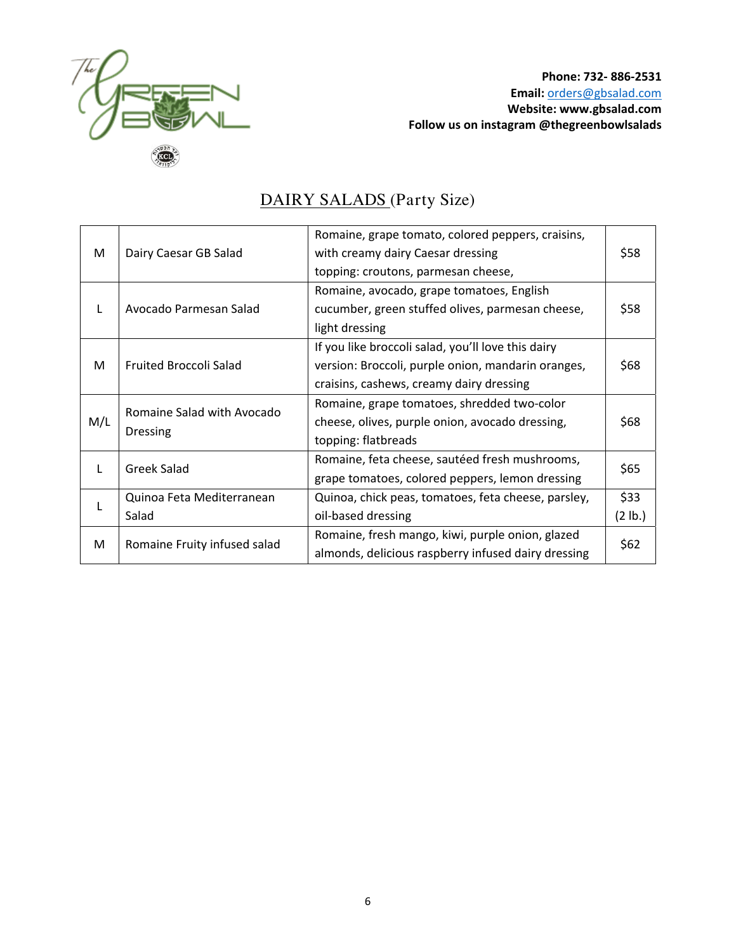

|     |                               | Romaine, grape tomato, colored peppers, craisins,   |         |  |
|-----|-------------------------------|-----------------------------------------------------|---------|--|
| M   | Dairy Caesar GB Salad         | with creamy dairy Caesar dressing                   | \$58    |  |
|     |                               | topping: croutons, parmesan cheese,                 |         |  |
|     |                               | Romaine, avocado, grape tomatoes, English           |         |  |
| L   | Avocado Parmesan Salad        | cucumber, green stuffed olives, parmesan cheese,    | \$58    |  |
|     |                               | light dressing                                      |         |  |
|     |                               | If you like broccoli salad, you'll love this dairy  |         |  |
| M   | <b>Fruited Broccoli Salad</b> | version: Broccoli, purple onion, mandarin oranges,  | \$68    |  |
|     |                               | craisins, cashews, creamy dairy dressing            |         |  |
|     |                               | Romaine, grape tomatoes, shredded two-color         |         |  |
| M/L | Romaine Salad with Avocado    | cheese, olives, purple onion, avocado dressing,     | \$68    |  |
|     | <b>Dressing</b>               | topping: flatbreads                                 |         |  |
|     |                               | Romaine, feta cheese, sautéed fresh mushrooms,      |         |  |
| L   | Greek Salad                   | grape tomatoes, colored peppers, lemon dressing     | \$65    |  |
|     | Quinoa Feta Mediterranean     | Quinoa, chick peas, tomatoes, feta cheese, parsley, | \$33    |  |
| L   | Salad                         | oil-based dressing                                  | (2 lb.) |  |
|     |                               | Romaine, fresh mango, kiwi, purple onion, glazed    |         |  |
| M   | Romaine Fruity infused salad  | almonds, delicious raspberry infused dairy dressing | \$62    |  |
|     |                               |                                                     |         |  |

# DAIRY SALADS (Party Size)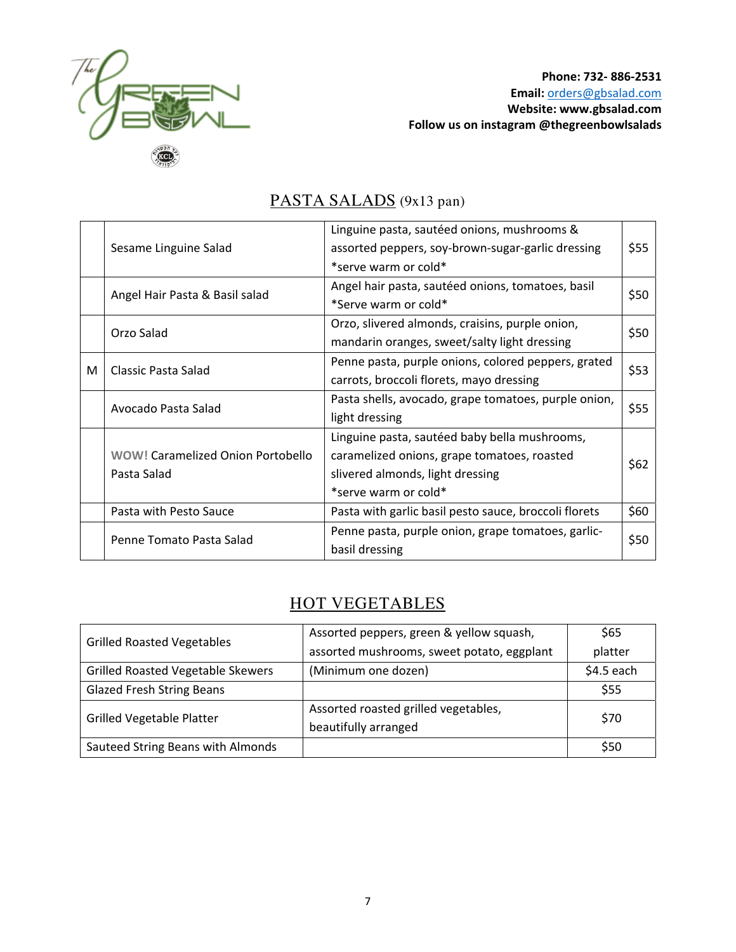

|   |                                          | Linguine pasta, sautéed onions, mushrooms &                                                   |      |
|---|------------------------------------------|-----------------------------------------------------------------------------------------------|------|
|   | Sesame Linguine Salad                    | assorted peppers, soy-brown-sugar-garlic dressing                                             | \$55 |
|   |                                          | *serve warm or cold*                                                                          |      |
|   | Angel Hair Pasta & Basil salad           | Angel hair pasta, sautéed onions, tomatoes, basil                                             | \$50 |
|   |                                          | *Serve warm or cold*                                                                          |      |
|   | Orzo Salad                               | Orzo, slivered almonds, craisins, purple onion,                                               | \$50 |
|   |                                          | mandarin oranges, sweet/salty light dressing                                                  |      |
| M | Classic Pasta Salad                      | Penne pasta, purple onions, colored peppers, grated                                           | \$53 |
|   |                                          | carrots, broccoli florets, mayo dressing                                                      |      |
|   |                                          | Pasta shells, avocado, grape tomatoes, purple onion,<br>Avocado Pasta Salad<br>light dressing |      |
|   |                                          |                                                                                               |      |
|   |                                          | Linguine pasta, sautéed baby bella mushrooms,                                                 |      |
|   | <b>WOW! Caramelized Onion Portobello</b> | caramelized onions, grape tomatoes, roasted                                                   | \$62 |
|   | Pasta Salad                              | slivered almonds, light dressing                                                              |      |
|   |                                          | *serve warm or cold*                                                                          |      |
|   | Pasta with Pesto Sauce                   | Pasta with garlic basil pesto sauce, broccoli florets                                         | \$60 |
|   | Penne Tomato Pasta Salad                 | Penne pasta, purple onion, grape tomatoes, garlic-                                            | \$50 |
|   |                                          | basil dressing                                                                                |      |

# PASTA SALADS (9x13 pan)

## HOT VEGETABLES

|                                   | Assorted peppers, green & yellow squash,   | \$65        |
|-----------------------------------|--------------------------------------------|-------------|
| <b>Grilled Roasted Vegetables</b> | assorted mushrooms, sweet potato, eggplant | platter     |
| Grilled Roasted Vegetable Skewers | (Minimum one dozen)                        | $$4.5$ each |
| <b>Glazed Fresh String Beans</b>  |                                            | \$55        |
| <b>Grilled Vegetable Platter</b>  | Assorted roasted grilled vegetables,       | \$70        |
|                                   | beautifully arranged                       |             |
| Sauteed String Beans with Almonds |                                            | \$50        |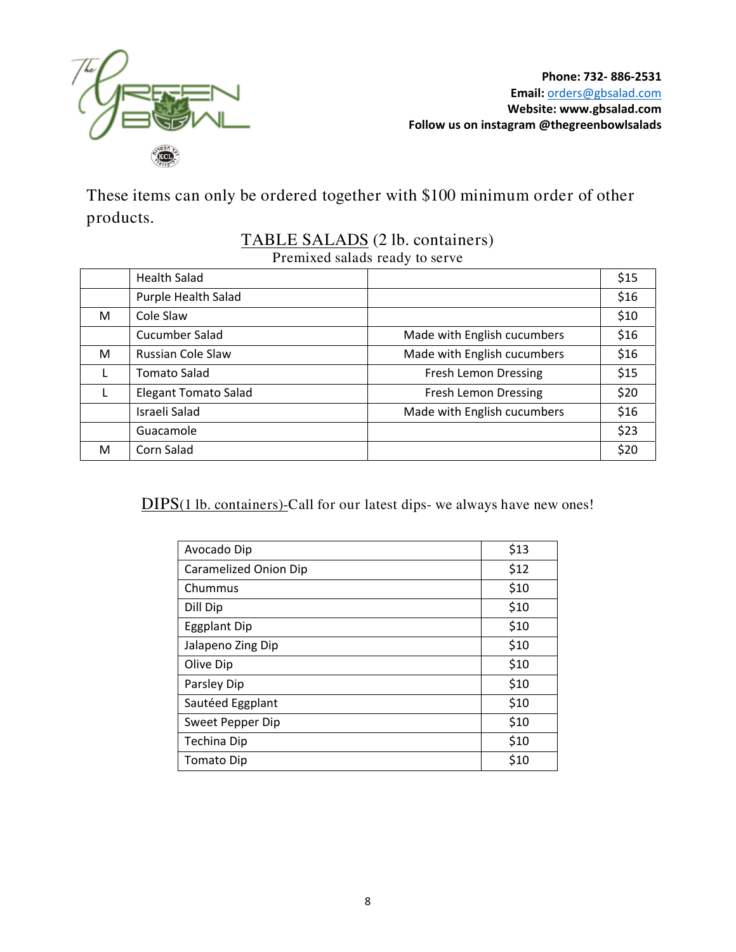

These items can only be ordered together with \$100 minimum order of other products.

### TABLE SALADS (2 lb. containers) Premixed salads ready to serve

|              | <b>Health Salad</b>         |                             | \$15 |
|--------------|-----------------------------|-----------------------------|------|
|              | Purple Health Salad         |                             | \$16 |
| M            | Cole Slaw                   |                             | \$10 |
|              | Cucumber Salad              | Made with English cucumbers | \$16 |
| M            | <b>Russian Cole Slaw</b>    | Made with English cucumbers | \$16 |
| L            | <b>Tomato Salad</b>         | <b>Fresh Lemon Dressing</b> | \$15 |
| $\mathbf{I}$ | <b>Elegant Tomato Salad</b> | <b>Fresh Lemon Dressing</b> | \$20 |
|              | Israeli Salad               | Made with English cucumbers | \$16 |
|              | Guacamole                   |                             | \$23 |
| M            | Corn Salad                  |                             | \$20 |

DIPS(1 lb. containers)-Call for our latest dips- we always have new ones!

| Avocado Dip           | \$13 |
|-----------------------|------|
| Caramelized Onion Dip | \$12 |
| Chummus               | \$10 |
| Dill Dip              | \$10 |
| <b>Eggplant Dip</b>   | \$10 |
| Jalapeno Zing Dip     | \$10 |
| Olive Dip             | \$10 |
| Parsley Dip           | \$10 |
| Sautéed Eggplant      | \$10 |
| Sweet Pepper Dip      | \$10 |
| Techina Dip           | \$10 |
| Tomato Dip            | \$10 |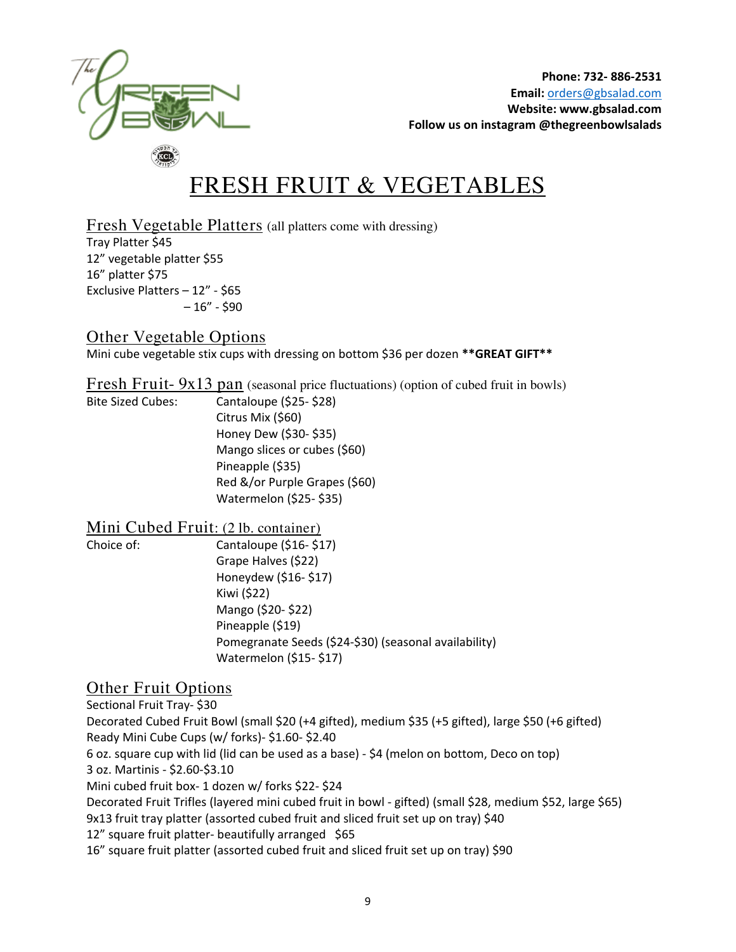

# FRESH FRUIT & VEGETABLES

Fresh Vegetable Platters (all platters come with dressing) Tray Platter \$45 12" vegetable platter \$55 16" platter \$75 Exclusive Platters – 12" - \$65  $-16" - $90$ 

#### Other Vegetable Options

Mini cube vegetable stix cups with dressing on bottom \$36 per dozen **\*\*GREAT GIFT\*\*** 

Fresh Fruit- 9x13 pan (seasonal price fluctuations) (option of cubed fruit in bowls)

Bite Sized Cubes: Cantaloupe (\$25- \$28) Citrus Mix (\$60) Honey Dew (\$30- \$35) Mango slices or cubes (\$60) Pineapple (\$35) Red &/or Purple Grapes (\$60) Watermelon (\$25- \$35)

#### Mini Cubed Fruit: (2 lb. container)

Choice of: Cantaloupe (\$16- \$17) Grape Halves (\$22) Kiwi (\$22) Mango (\$20- \$22)

Honeydew (\$16- \$17) Pineapple (\$19) Pomegranate Seeds (\$24-\$30) (seasonal availability) Watermelon (\$15- \$17)

### Other Fruit Options

Sectional Fruit Tray- \$30 Decorated Cubed Fruit Bowl (small \$20 (+4 gifted), medium \$35 (+5 gifted), large \$50 (+6 gifted) Ready Mini Cube Cups (w/ forks)- \$1.60- \$2.40 6 oz. square cup with lid (lid can be used as a base) - \$4 (melon on bottom, Deco on top) 3 oz. Martinis - \$2.60-\$3.10 Mini cubed fruit box- 1 dozen w/ forks \$22- \$24 Decorated Fruit Trifles (layered mini cubed fruit in bowl - gifted) (small \$28, medium \$52, large \$65) 9x13 fruit tray platter (assorted cubed fruit and sliced fruit set up on tray) \$40 12" square fruit platter- beautifully arranged \$65 16" square fruit platter (assorted cubed fruit and sliced fruit set up on tray) \$90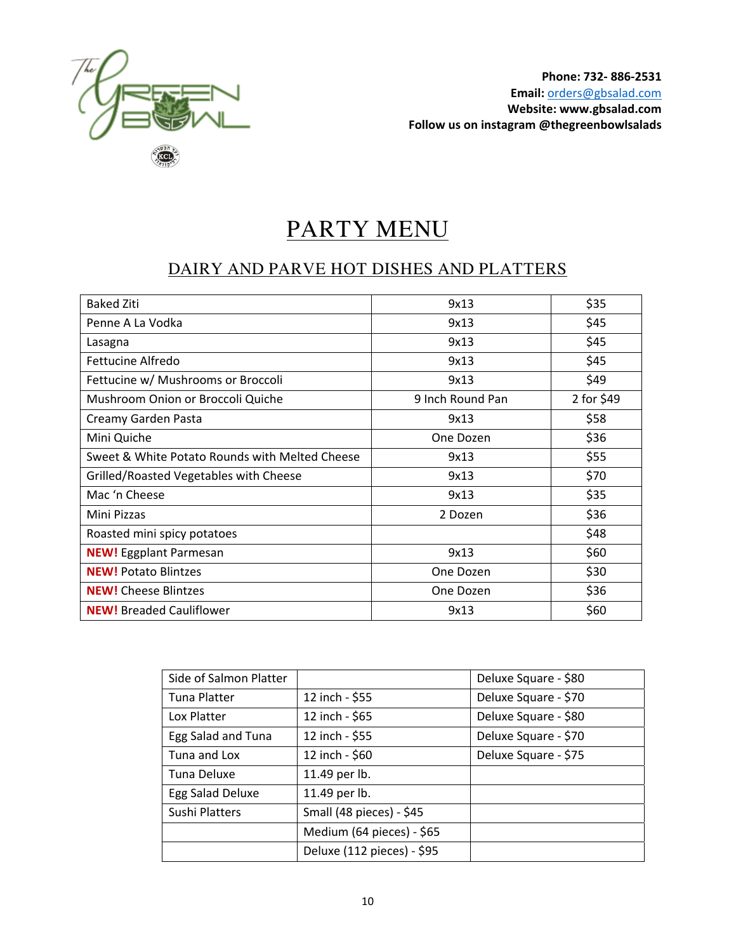

# PARTY MENU

## DAIRY AND PARVE HOT DISHES AND PLATTERS

| <b>Baked Ziti</b>                              | 9x13             | \$35       |
|------------------------------------------------|------------------|------------|
| Penne A La Vodka                               | 9x13             | \$45       |
| Lasagna                                        | 9x13             | \$45       |
| Fettucine Alfredo                              | 9x13             | \$45       |
| Fettucine w/ Mushrooms or Broccoli             | 9x13             | \$49       |
| Mushroom Onion or Broccoli Quiche              | 9 Inch Round Pan | 2 for \$49 |
| Creamy Garden Pasta                            | 9x13             | \$58       |
| Mini Quiche                                    | One Dozen        | \$36       |
| Sweet & White Potato Rounds with Melted Cheese | 9x13             | \$55       |
| Grilled/Roasted Vegetables with Cheese         | 9x13             | \$70       |
| Mac 'n Cheese                                  | 9x13             | \$35       |
| Mini Pizzas                                    | 2 Dozen          | \$36       |
| Roasted mini spicy potatoes                    |                  | \$48       |
| <b>NEW!</b> Eggplant Parmesan                  | 9x13             | \$60       |
| <b>NEW!</b> Potato Blintzes                    | One Dozen        | \$30       |
| <b>NEW!</b> Cheese Blintzes                    | One Dozen        | \$36       |
| <b>NEW!</b> Breaded Cauliflower                | 9x13             | \$60       |

| Side of Salmon Platter |                            | Deluxe Square - \$80 |
|------------------------|----------------------------|----------------------|
| <b>Tuna Platter</b>    | 12 inch - \$55             | Deluxe Square - \$70 |
| Lox Platter            | 12 inch - \$65             | Deluxe Square - \$80 |
| Egg Salad and Tuna     | 12 inch - \$55             | Deluxe Square - \$70 |
| Tuna and Lox           | 12 inch - \$60             | Deluxe Square - \$75 |
| Tuna Deluxe            | 11.49 per lb.              |                      |
| Egg Salad Deluxe       | 11.49 per lb.              |                      |
| Sushi Platters         | Small (48 pieces) - \$45   |                      |
|                        | Medium (64 pieces) - \$65  |                      |
|                        | Deluxe (112 pieces) - \$95 |                      |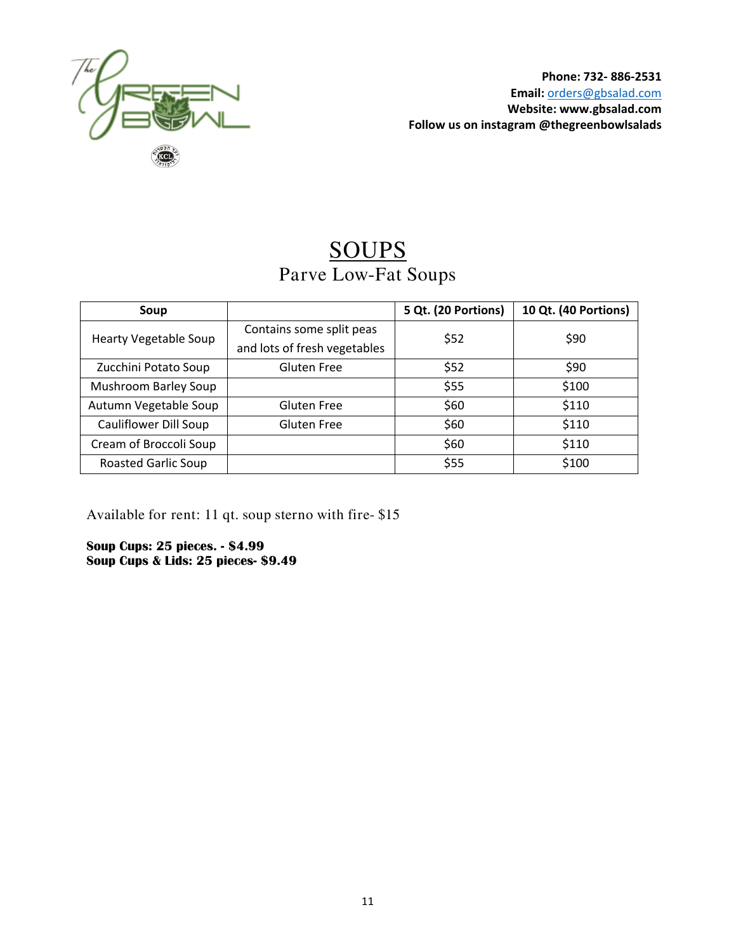

# SOUPS Parve Low-Fat Soups

| Soup                         |                              | 5 Qt. (20 Portions) | 10 Qt. (40 Portions) |
|------------------------------|------------------------------|---------------------|----------------------|
| <b>Hearty Vegetable Soup</b> | Contains some split peas     | \$52                | \$90                 |
|                              | and lots of fresh vegetables |                     |                      |
| Zucchini Potato Soup         | <b>Gluten Free</b>           | \$52                | \$90                 |
| <b>Mushroom Barley Soup</b>  |                              | \$55                | \$100                |
| Autumn Vegetable Soup        | <b>Gluten Free</b>           | \$60                | \$110                |
| Cauliflower Dill Soup        | <b>Gluten Free</b>           | \$60                | \$110                |
| Cream of Broccoli Soup       |                              | \$60                | \$110                |
| Roasted Garlic Soup          |                              | \$55                | \$100                |

Available for rent: 11 qt. soup sterno with fire- \$15

**Soup Cups: 25 pieces. - \$4.99 Soup Cups & Lids: 25 pieces- \$9.49**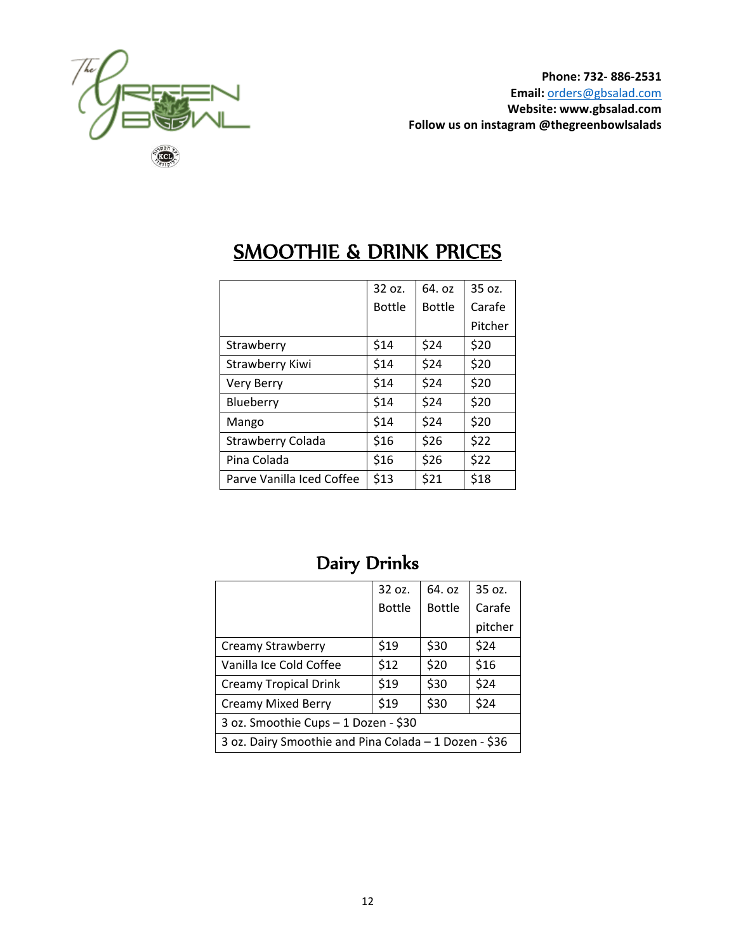

|                           | 32 oz.        | 64. oz        | 35 oz.  |
|---------------------------|---------------|---------------|---------|
|                           | <b>Bottle</b> | <b>Bottle</b> | Carafe  |
|                           |               |               | Pitcher |
| Strawberry                | \$14          | \$24          | \$20    |
| Strawberry Kiwi           | \$14          | \$24          | \$20    |
| Very Berry                | \$14          | \$24          | \$20    |
| Blueberry                 | \$14          | \$24          | \$20    |
| Mango                     | \$14          | \$24          | \$20    |
| <b>Strawberry Colada</b>  | \$16          | \$26          | \$22    |
| Pina Colada               | \$16          | \$26          | \$22    |
| Parve Vanilla Iced Coffee | \$13          | \$21          | \$18    |

# SMOOTHIE & DRINK PRICES

|                                                       | 32 oz.        | 64. oz        | 35 oz.  |  |  |  |
|-------------------------------------------------------|---------------|---------------|---------|--|--|--|
|                                                       | <b>Bottle</b> | <b>Bottle</b> | Carafe  |  |  |  |
|                                                       |               |               | pitcher |  |  |  |
| Creamy Strawberry                                     | \$19          | \$30          | \$24    |  |  |  |
| Vanilla Ice Cold Coffee                               | \$12          | \$20          | \$16    |  |  |  |
| Creamy Tropical Drink                                 | \$19          | \$30          | \$24    |  |  |  |
| <b>Creamy Mixed Berry</b>                             | \$19          | \$30          | \$24    |  |  |  |
| 3 oz. Smoothie Cups – 1 Dozen - \$30                  |               |               |         |  |  |  |
| 3 oz. Dairy Smoothie and Pina Colada - 1 Dozen - \$36 |               |               |         |  |  |  |

# Dairy Drinks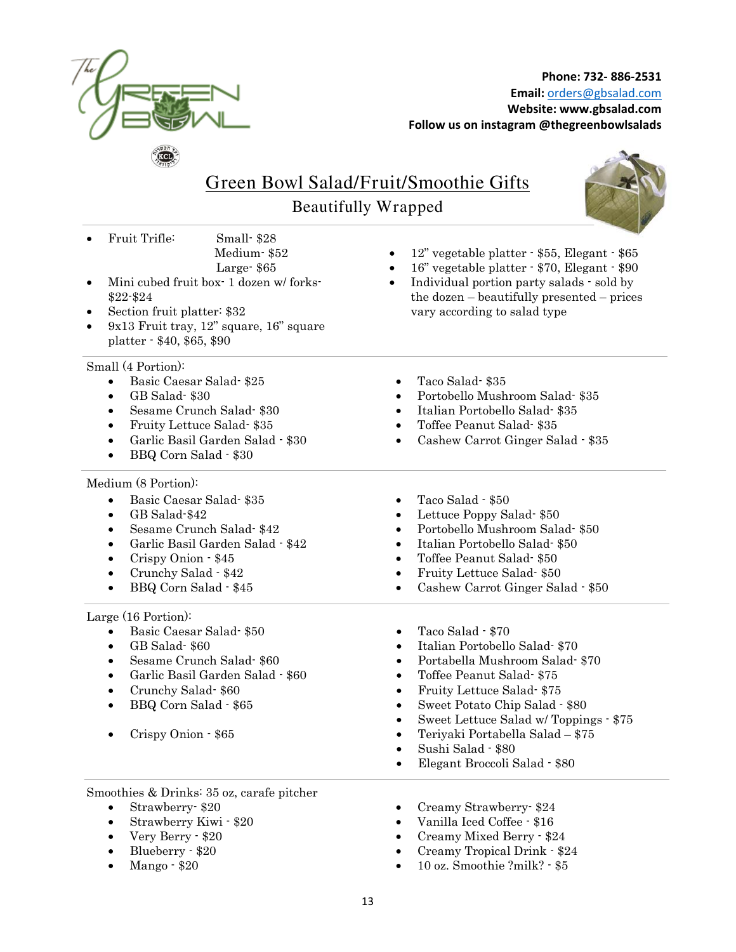

• 12" vegetable platter - \$55, Elegant - \$65 • 16" vegetable platter - \$70, Elegant - \$90 • Individual portion party salads - sold by the dozen – beautifully presented – prices

## Green Bowl Salad/Fruit/Smoothie Gifts

Beautifully Wrapped



- Fruit Trifle: Small- \$28 Medium- \$52 Large- \$65
- Mini cubed fruit box-1 dozen w/forks-\$22-\$24
- Section fruit platter: \$32
- 9x13 Fruit tray, 12" square, 16" square platter - \$40, \$65, \$90

Small (4 Portion):

- Basic Caesar Salad- \$25 Taco Salad- \$35
- 
- Sesame Crunch Salad- \$30 Italian Portobello Salad- \$35
- 
- Garlic Basil Garden Salad \$30
- BBQ Corn Salad \$30

Medium (8 Portion):

 $\overline{a}$ 

- Basic Caesar Salad- \$35 Taco Salad \$50
- 
- 
- Garlic Basil Garden Salad \$42 Italian Portobello Salad- \$50
- 
- 
- 

Large (16 Portion):

- Basic Caesar Salad- \$50 Taco Salad \$70
- 
- Sesame Crunch Salad- \$60 Portabella Mushroom Salad- \$70
- Garlic Basil Garden Salad \$60 Toffee Peanut Salad- \$75
- Crunchy Salad- \$60 Fruity Lettuce Salad- \$75
- 

 $\overline{a}$ Smoothies & Drinks: 35 oz, carafe pitcher

- 
- 
- Very Berry \$20
- Blueberry \$20
- 
- 
- GB Salad- \$30 Portobello Mushroom Salad- \$35

vary according to salad type

- 
- Fruity Lettuce Salad- \$35 Toffee Peanut Salad- \$35
	- Cashew Carrot Ginger Salad \$35
	-
- GB Salad-\$42 Lettuce Poppy Salad- \$50
- Sesame Crunch Salad- \$42 Portobello Mushroom Salad- \$50
	-
- Crispy Onion \$45 Toffee Peanut Salad- \$50
- Crunchy Salad \$42 Fruity Lettuce Salad- \$50
- BBQ Corn Salad \$45 Cashew Carrot Ginger Salad \$50
	-
- GB Salad- \$60 Italian Portobello Salad- \$70
	-
	-
	-
- BBQ Corn Salad \$65 Sweet Potato Chip Salad \$80
	- Sweet Lettuce Salad w/ Toppings \$75
	- Crispy Onion \$65 Teriyaki Portabella Salad \$75
		- Sushi Salad \$80
		- Elegant Broccoli Salad \$80
- Strawberry- \$20 Creamy Strawberry- \$24
	- Strawberry Kiwi \$20 Vanilla Iced Coffee \$16
		- Creamy Mixed Berry \$24
		- Creamy Tropical Drink \$24
	- Mango \$20 10 oz. Smoothie ?milk? \$5